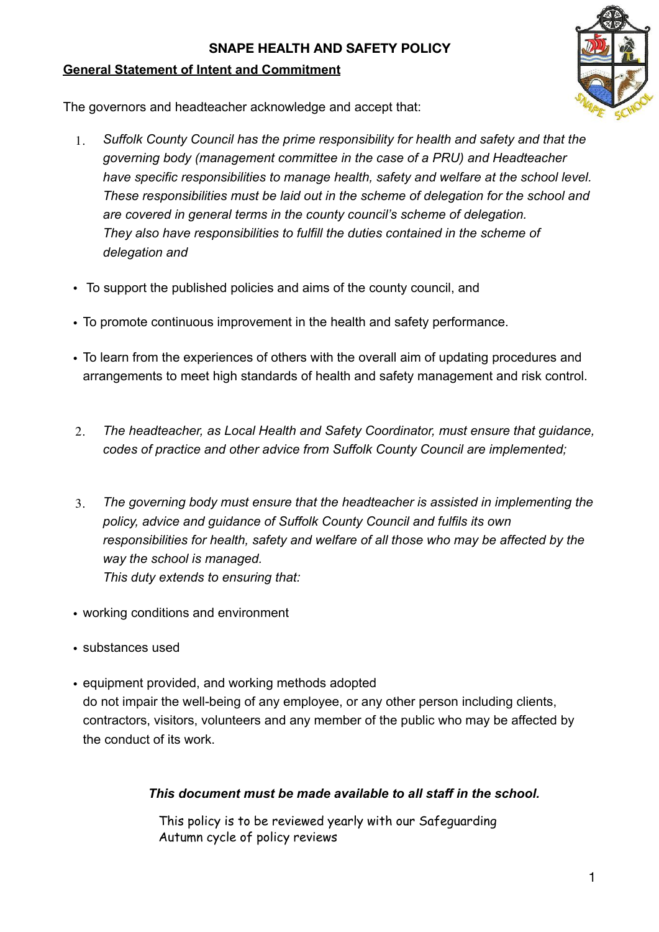### **General Statement of Intent and Commitment**



The governors and headteacher acknowledge and accept that:

- 1. *Suffolk County Council has the prime responsibility for health and safety and that the governing body (management committee in the case of a PRU) and Headteacher have specific responsibilities to manage health, safety and welfare at the school level. These responsibilities must be laid out in the scheme of delegation for the school and are covered in general terms in the county council's scheme of delegation. They also have responsibilities to fulfill the duties contained in the scheme of delegation and*
- To support the published policies and aims of the county council, and
- To promote continuous improvement in the health and safety performance.
- To learn from the experiences of others with the overall aim of updating procedures and arrangements to meet high standards of health and safety management and risk control.
- 2. *The headteacher, as Local Health and Safety Coordinator, must ensure that guidance, codes of practice and other advice from Suffolk County Council are implemented;*
- 3. *The governing body must ensure that the headteacher is assisted in implementing the policy, advice and guidance of Suffolk County Council and fulfils its own responsibilities for health, safety and welfare of all those who may be affected by the way the school is managed. This duty extends to ensuring that:*
- working conditions and environment
- substances used
- equipment provided, and working methods adopted do not impair the well-being of any employee, or any other person including clients, contractors, visitors, volunteers and any member of the public who may be affected by the conduct of its work.

# *This document must be made available to all staff in the school.*

This policy is to be reviewed yearly with our Safeguarding Autumn cycle of policy reviews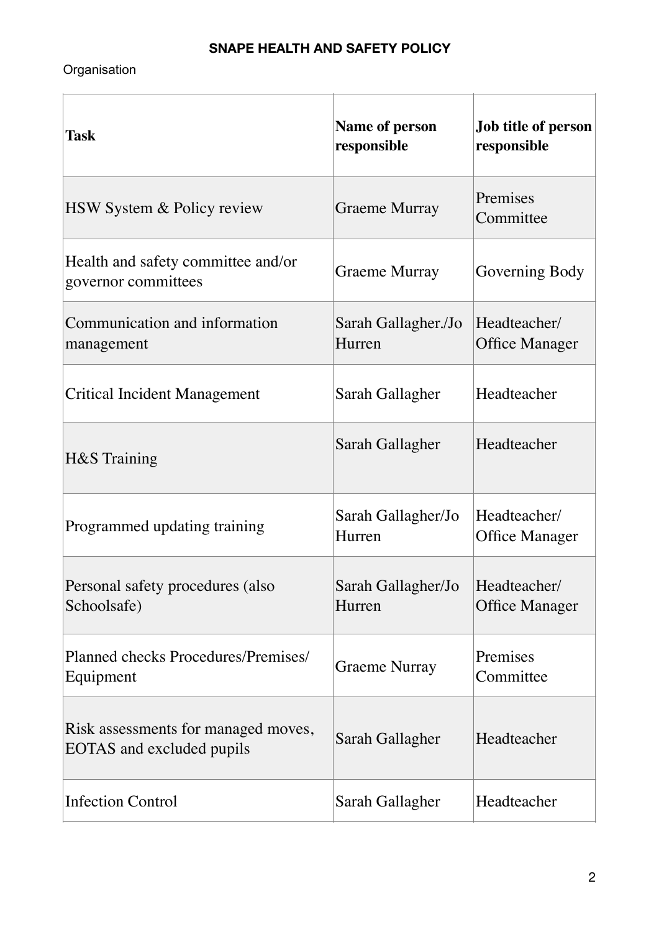# Organisation

| <b>Task</b>                                                      | <b>Name of person</b><br>responsible | Job title of person<br>responsible    |
|------------------------------------------------------------------|--------------------------------------|---------------------------------------|
| HSW System & Policy review                                       | Graeme Murray                        | Premises<br>Committee                 |
| Health and safety committee and/or<br>governor committees        | Graeme Murray                        | Governing Body                        |
| Communication and information<br>management                      | Sarah Gallagher./Jo<br>Hurren        | Headteacher/<br><b>Office Manager</b> |
| <b>Critical Incident Management</b>                              | Sarah Gallagher                      | Headteacher                           |
| H&S Training                                                     | Sarah Gallagher                      | Headteacher                           |
| Programmed updating training                                     | Sarah Gallagher/Jo<br>Hurren         | Headteacher/<br><b>Office Manager</b> |
| Personal safety procedures (also<br>Schoolsafe)                  | Sarah Gallagher/Jo<br>Hurren         | Headteacher/<br><b>Office Manager</b> |
| Planned checks Procedures/Premises/<br>Equipment                 | Graeme Nurray                        | Premises<br>Committee                 |
| Risk assessments for managed moves,<br>EOTAS and excluded pupils | Sarah Gallagher                      | Headteacher                           |
| <b>Infection Control</b>                                         | Sarah Gallagher                      | Headteacher                           |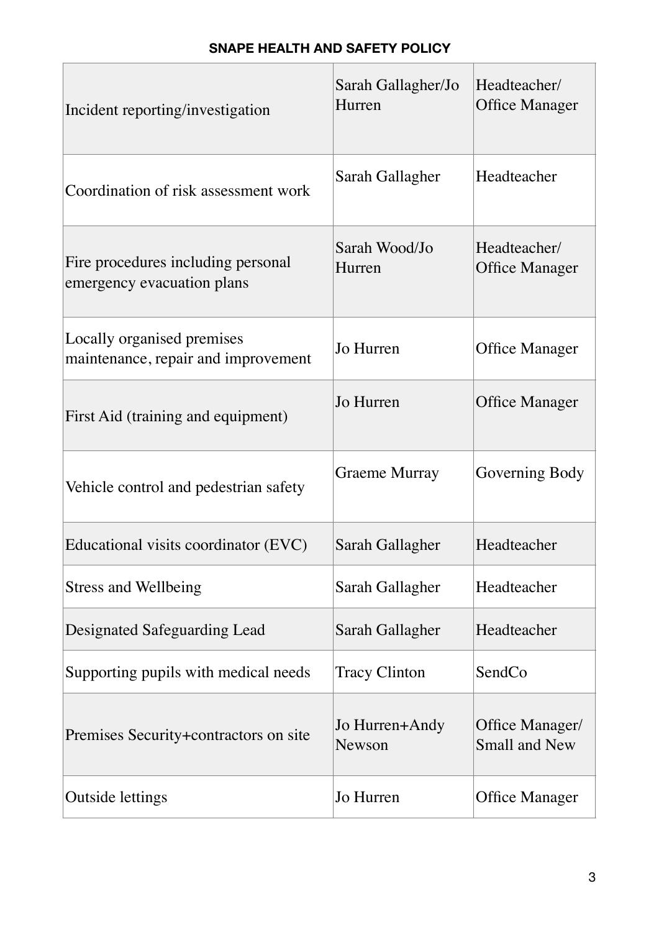| Incident reporting/investigation                                  | Sarah Gallagher/Jo<br>Hurren | Headteacher/<br><b>Office Manager</b>   |
|-------------------------------------------------------------------|------------------------------|-----------------------------------------|
| Coordination of risk assessment work                              | Sarah Gallagher              | Headteacher                             |
| Fire procedures including personal<br>emergency evacuation plans  | Sarah Wood/Jo<br>Hurren      | Headteacher/<br><b>Office Manager</b>   |
| Locally organised premises<br>maintenance, repair and improvement | Jo Hurren                    | <b>Office Manager</b>                   |
| First Aid (training and equipment)                                | Jo Hurren                    | <b>Office Manager</b>                   |
| Vehicle control and pedestrian safety                             | Graeme Murray                | Governing Body                          |
| Educational visits coordinator (EVC)                              | Sarah Gallagher              | Headteacher                             |
| <b>Stress and Wellbeing</b>                                       | Sarah Gallagher              | Headteacher                             |
| Designated Safeguarding Lead                                      | Sarah Gallagher              | Headteacher                             |
| Supporting pupils with medical needs                              | <b>Tracy Clinton</b>         | SendCo                                  |
| Premises Security+contractors on site                             | Jo Hurren+Andy<br>Newson     | Office Manager/<br><b>Small and New</b> |
| Outside lettings                                                  | Jo Hurren                    | <b>Office Manager</b>                   |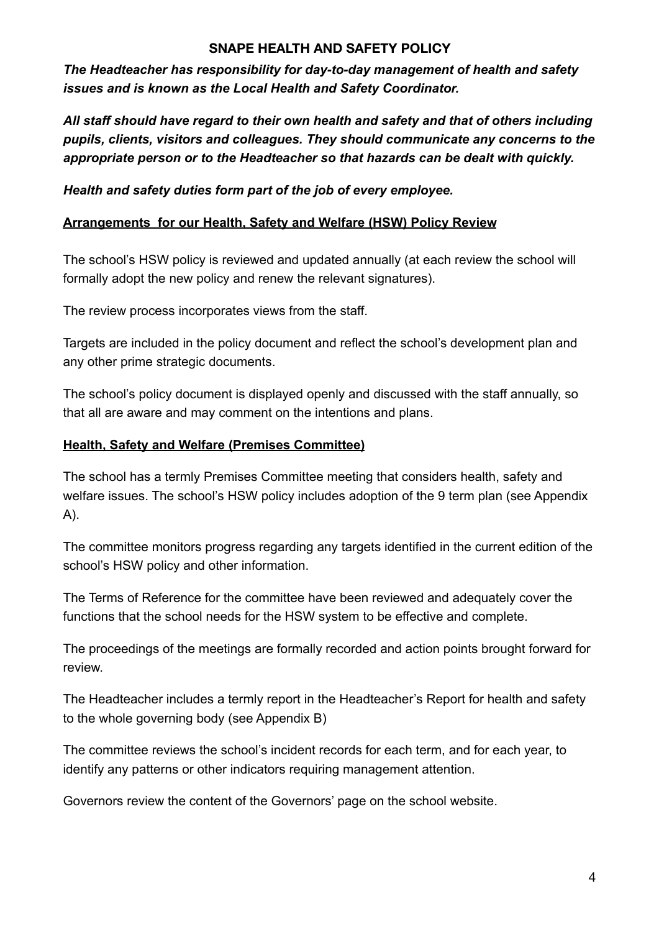*The Headteacher has responsibility for day-to-day management of health and safety issues and is known as the Local Health and Safety Coordinator.* 

*All staff should have regard to their own health and safety and that of others including pupils, clients, visitors and colleagues. They should communicate any concerns to the appropriate person or to the Headteacher so that hazards can be dealt with quickly.* 

*Health and safety duties form part of the job of every employee.* 

#### **Arrangements for our Health, Safety and Welfare (HSW) Policy Review**

The school's HSW policy is reviewed and updated annually (at each review the school will formally adopt the new policy and renew the relevant signatures).

The review process incorporates views from the staff.

Targets are included in the policy document and reflect the school's development plan and any other prime strategic documents.

The school's policy document is displayed openly and discussed with the staff annually, so that all are aware and may comment on the intentions and plans.

#### **Health, Safety and Welfare (Premises Committee)**

The school has a termly Premises Committee meeting that considers health, safety and welfare issues. The school's HSW policy includes adoption of the 9 term plan (see Appendix A).

The committee monitors progress regarding any targets identified in the current edition of the school's HSW policy and other information.

The Terms of Reference for the committee have been reviewed and adequately cover the functions that the school needs for the HSW system to be effective and complete.

The proceedings of the meetings are formally recorded and action points brought forward for review.

The Headteacher includes a termly report in the Headteacher's Report for health and safety to the whole governing body (see Appendix B)

The committee reviews the school's incident records for each term, and for each year, to identify any patterns or other indicators requiring management attention.

Governors review the content of the Governors' page on the school website.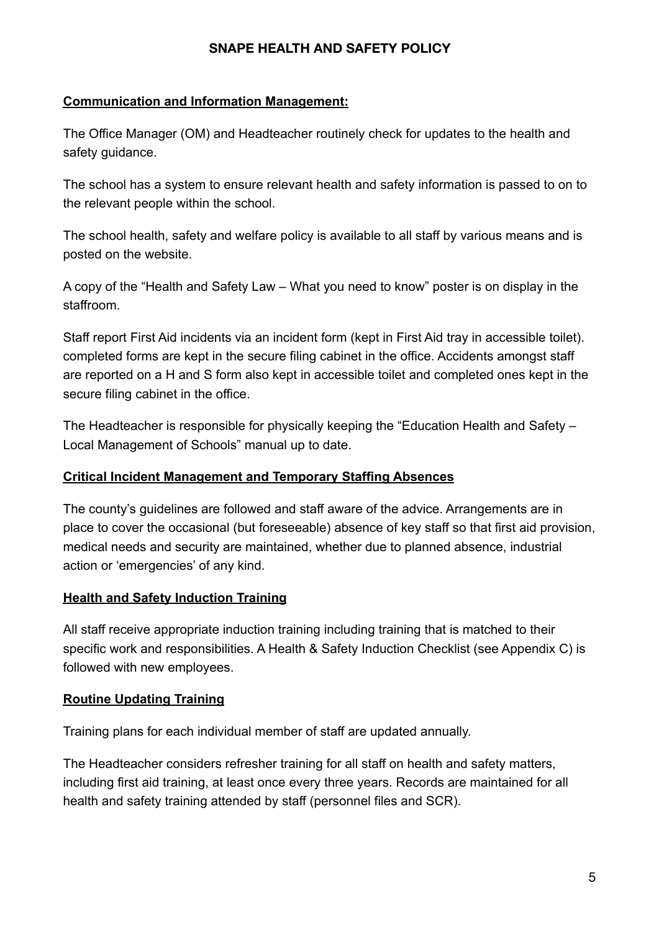#### **Communication and Information Management:**

The Office Manager (OM) and Headteacher routinely check for updates to the health and safety quidance.

The school has a system to ensure relevant health and safety information is passed to on to the relevant people within the school.

The school health, safety and welfare policy is available to all staff by various means and is posted on the website.

A copy of the "Health and Safety Law – What you need to know" poster is on display in the staffroom.

Staff report First Aid incidents via an incident form (kept in First Aid tray in accessible toilet). completed forms are kept in the secure filing cabinet in the office. Accidents amongst staff are reported on a H and S form also kept in accessible toilet and completed ones kept in the secure filing cabinet in the office.

The Headteacher is responsible for physically keeping the "Education Health and Safety – Local Management of Schools" manual up to date.

#### **Critical Incident Management and Temporary Staffing Absences**

The county's guidelines are followed and staff aware of the advice. Arrangements are in place to cover the occasional (but foreseeable) absence of key staff so that first aid provision, medical needs and security are maintained, whether due to planned absence, industrial action or 'emergencies' of any kind.

#### **Health and Safety Induction Training**

All staff receive appropriate induction training including training that is matched to their specific work and responsibilities. A Health & Safety Induction Checklist (see Appendix C) is followed with new employees.

#### **Routine Updating Training**

Training plans for each individual member of staff are updated annually.

The Headteacher considers refresher training for all staff on health and safety matters, including first aid training, at least once every three years. Records are maintained for all health and safety training attended by staff (personnel files and SCR).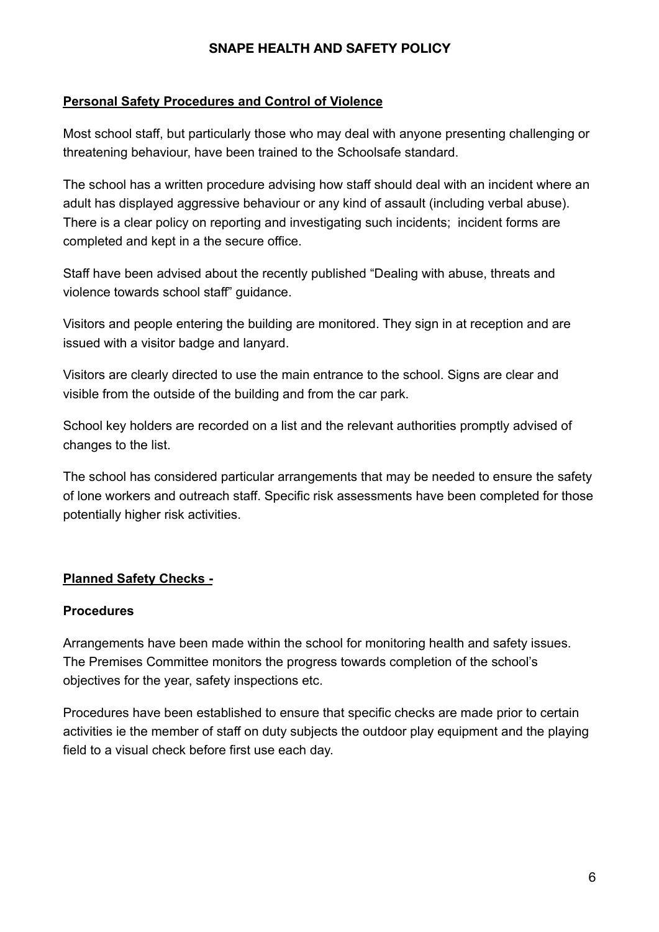### **Personal Safety Procedures and Control of Violence**

Most school staff, but particularly those who may deal with anyone presenting challenging or threatening behaviour, have been trained to the Schoolsafe standard.

The school has a written procedure advising how staff should deal with an incident where an adult has displayed aggressive behaviour or any kind of assault (including verbal abuse). There is a clear policy on reporting and investigating such incidents; incident forms are completed and kept in a the secure office.

Staff have been advised about the recently published "Dealing with abuse, threats and violence towards school staff" guidance.

Visitors and people entering the building are monitored. They sign in at reception and are issued with a visitor badge and lanyard.

Visitors are clearly directed to use the main entrance to the school. Signs are clear and visible from the outside of the building and from the car park.

School key holders are recorded on a list and the relevant authorities promptly advised of changes to the list.

The school has considered particular arrangements that may be needed to ensure the safety of lone workers and outreach staff. Specific risk assessments have been completed for those potentially higher risk activities.

# **Planned Safety Checks -**

#### **Procedures**

Arrangements have been made within the school for monitoring health and safety issues. The Premises Committee monitors the progress towards completion of the school's objectives for the year, safety inspections etc.

Procedures have been established to ensure that specific checks are made prior to certain activities ie the member of staff on duty subjects the outdoor play equipment and the playing field to a visual check before first use each day.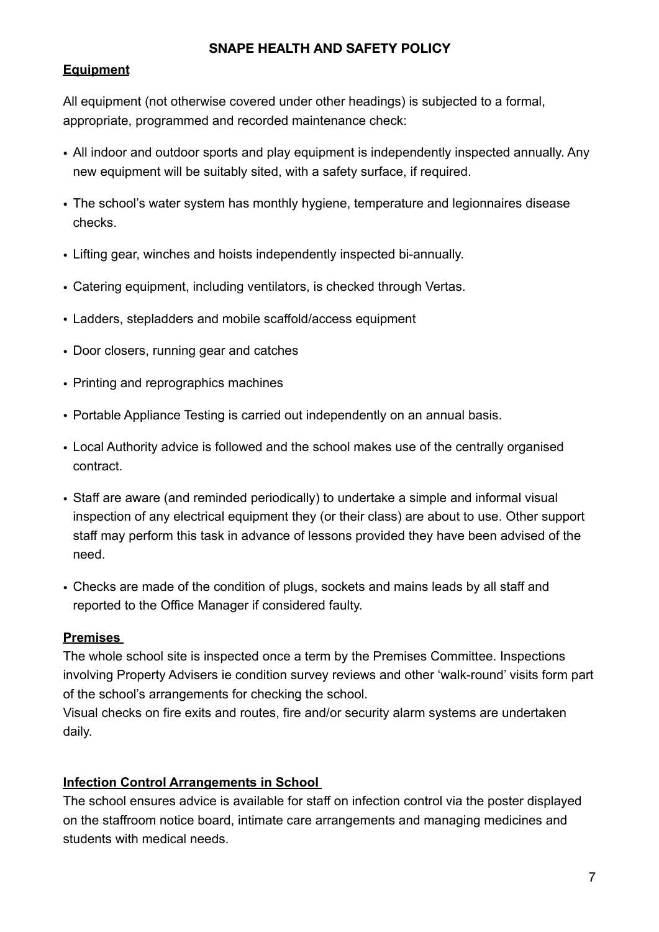#### **Equipment**

All equipment (not otherwise covered under other headings) is subjected to a formal, appropriate, programmed and recorded maintenance check:

- All indoor and outdoor sports and play equipment is independently inspected annually. Any new equipment will be suitably sited, with a safety surface, if required.
- The school's water system has monthly hygiene, temperature and legionnaires disease checks.
- Lifting gear, winches and hoists independently inspected bi-annually.
- Catering equipment, including ventilators, is checked through Vertas.
- Ladders, stepladders and mobile scaffold/access equipment
- Door closers, running gear and catches
- Printing and reprographics machines
- Portable Appliance Testing is carried out independently on an annual basis.
- Local Authority advice is followed and the school makes use of the centrally organised contract.
- Staff are aware (and reminded periodically) to undertake a simple and informal visual inspection of any electrical equipment they (or their class) are about to use. Other support staff may perform this task in advance of lessons provided they have been advised of the need.
- Checks are made of the condition of plugs, sockets and mains leads by all staff and reported to the Office Manager if considered faulty.

#### **Premises**

The whole school site is inspected once a term by the Premises Committee. Inspections involving Property Advisers ie condition survey reviews and other 'walk-round' visits form part of the school's arrangements for checking the school.

Visual checks on fire exits and routes, fire and/or security alarm systems are undertaken daily.

#### **Infection Control Arrangements in School**

The school ensures advice is available for staff on infection control via the poster displayed on the staffroom notice board, intimate care arrangements and managing medicines and students with medical needs.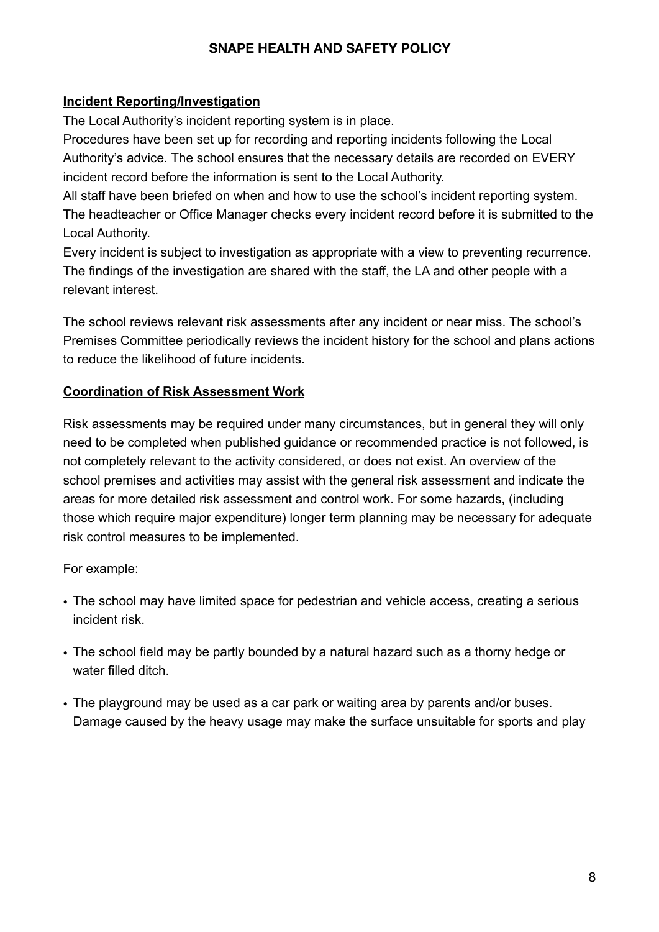#### **Incident Reporting/Investigation**

The Local Authority's incident reporting system is in place.

Procedures have been set up for recording and reporting incidents following the Local Authority's advice. The school ensures that the necessary details are recorded on EVERY incident record before the information is sent to the Local Authority.

All staff have been briefed on when and how to use the school's incident reporting system. The headteacher or Office Manager checks every incident record before it is submitted to the Local Authority.

Every incident is subject to investigation as appropriate with a view to preventing recurrence. The findings of the investigation are shared with the staff, the LA and other people with a relevant interest.

The school reviews relevant risk assessments after any incident or near miss. The school's Premises Committee periodically reviews the incident history for the school and plans actions to reduce the likelihood of future incidents.

#### **Coordination of Risk Assessment Work**

Risk assessments may be required under many circumstances, but in general they will only need to be completed when published guidance or recommended practice is not followed, is not completely relevant to the activity considered, or does not exist. An overview of the school premises and activities may assist with the general risk assessment and indicate the areas for more detailed risk assessment and control work. For some hazards, (including those which require major expenditure) longer term planning may be necessary for adequate risk control measures to be implemented.

For example:

- The school may have limited space for pedestrian and vehicle access, creating a serious incident risk.
- The school field may be partly bounded by a natural hazard such as a thorny hedge or water filled ditch.
- The playground may be used as a car park or waiting area by parents and/or buses. Damage caused by the heavy usage may make the surface unsuitable for sports and play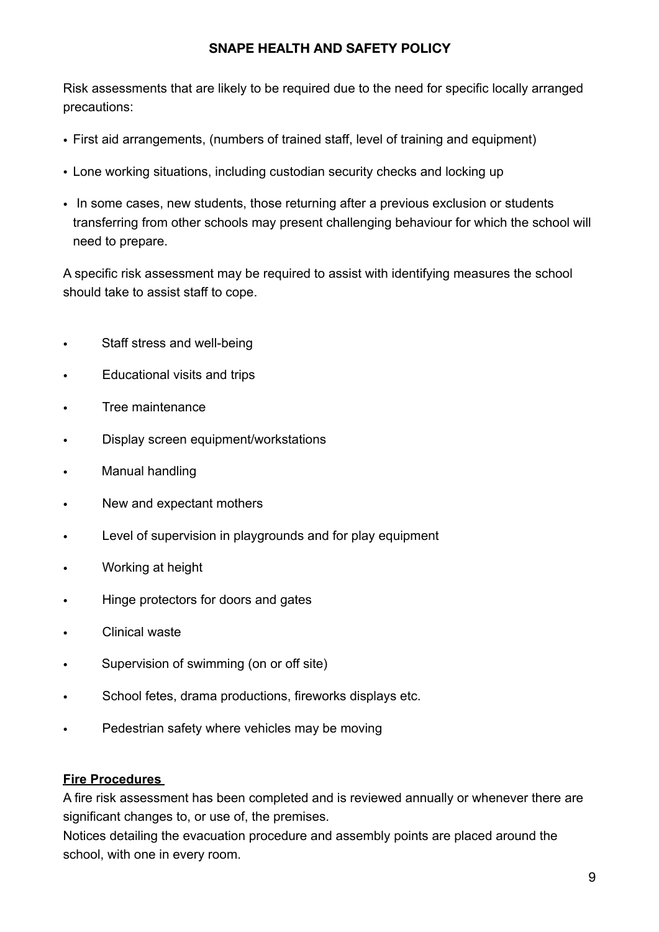Risk assessments that are likely to be required due to the need for specific locally arranged precautions:

- First aid arrangements, (numbers of trained staff, level of training and equipment)
- Lone working situations, including custodian security checks and locking up
- In some cases, new students, those returning after a previous exclusion or students transferring from other schools may present challenging behaviour for which the school will need to prepare.

A specific risk assessment may be required to assist with identifying measures the school should take to assist staff to cope.

- Staff stress and well-being
- Educational visits and trips
- Tree maintenance
- Display screen equipment/workstations
- Manual handling
- New and expectant mothers
- Level of supervision in playgrounds and for play equipment
- Working at height
- Hinge protectors for doors and gates
- Clinical waste
- Supervision of swimming (on or off site)
- School fetes, drama productions, fireworks displays etc.
- Pedestrian safety where vehicles may be moving

#### **Fire Procedures**

A fire risk assessment has been completed and is reviewed annually or whenever there are significant changes to, or use of, the premises.

Notices detailing the evacuation procedure and assembly points are placed around the school, with one in every room.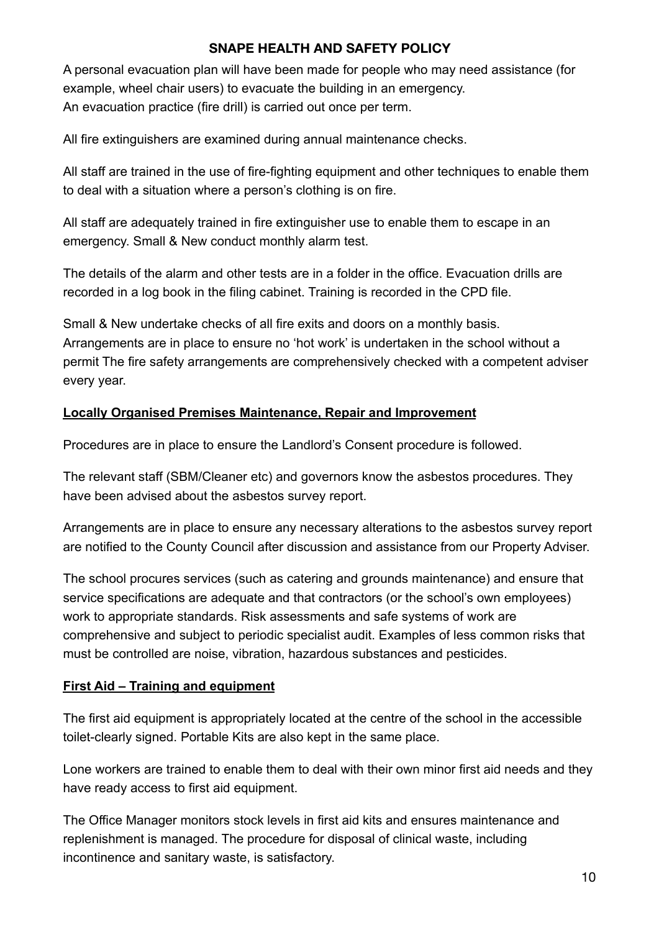A personal evacuation plan will have been made for people who may need assistance (for example, wheel chair users) to evacuate the building in an emergency. An evacuation practice (fire drill) is carried out once per term.

All fire extinguishers are examined during annual maintenance checks.

All staff are trained in the use of fire-fighting equipment and other techniques to enable them to deal with a situation where a person's clothing is on fire.

All staff are adequately trained in fire extinguisher use to enable them to escape in an emergency. Small & New conduct monthly alarm test.

The details of the alarm and other tests are in a folder in the office. Evacuation drills are recorded in a log book in the filing cabinet. Training is recorded in the CPD file.

Small & New undertake checks of all fire exits and doors on a monthly basis. Arrangements are in place to ensure no 'hot work' is undertaken in the school without a permit The fire safety arrangements are comprehensively checked with a competent adviser every year.

# **Locally Organised Premises Maintenance, Repair and Improvement**

Procedures are in place to ensure the Landlord's Consent procedure is followed.

The relevant staff (SBM/Cleaner etc) and governors know the asbestos procedures. They have been advised about the asbestos survey report.

Arrangements are in place to ensure any necessary alterations to the asbestos survey report are notified to the County Council after discussion and assistance from our Property Adviser.

The school procures services (such as catering and grounds maintenance) and ensure that service specifications are adequate and that contractors (or the school's own employees) work to appropriate standards. Risk assessments and safe systems of work are comprehensive and subject to periodic specialist audit. Examples of less common risks that must be controlled are noise, vibration, hazardous substances and pesticides.

# **First Aid – Training and equipment**

The first aid equipment is appropriately located at the centre of the school in the accessible toilet-clearly signed. Portable Kits are also kept in the same place.

Lone workers are trained to enable them to deal with their own minor first aid needs and they have ready access to first aid equipment.

The Office Manager monitors stock levels in first aid kits and ensures maintenance and replenishment is managed. The procedure for disposal of clinical waste, including incontinence and sanitary waste, is satisfactory.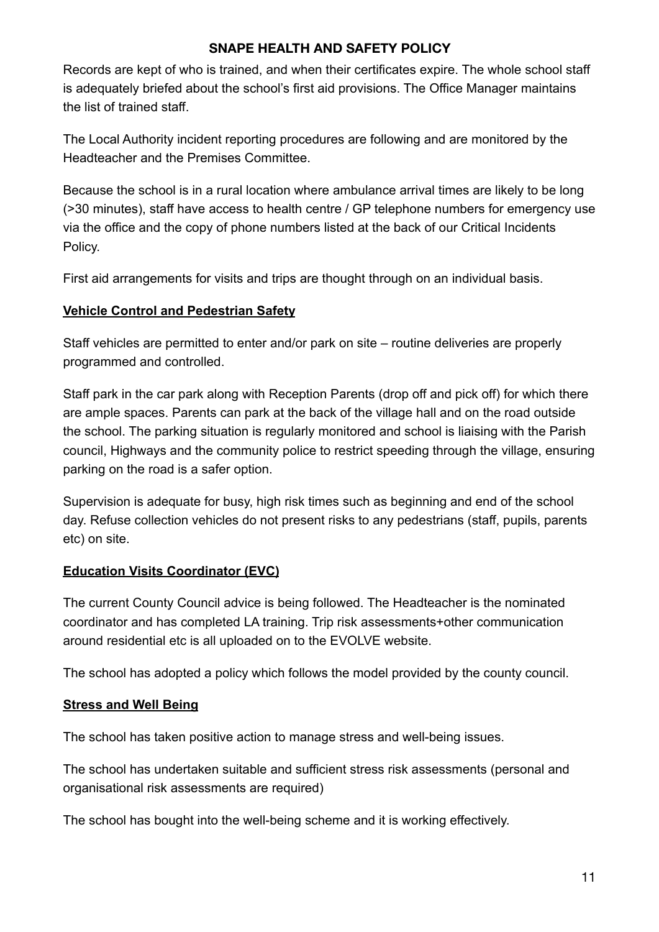Records are kept of who is trained, and when their certificates expire. The whole school staff is adequately briefed about the school's first aid provisions. The Office Manager maintains the list of trained staff.

The Local Authority incident reporting procedures are following and are monitored by the Headteacher and the Premises Committee.

Because the school is in a rural location where ambulance arrival times are likely to be long (>30 minutes), staff have access to health centre / GP telephone numbers for emergency use via the office and the copy of phone numbers listed at the back of our Critical Incidents Policy.

First aid arrangements for visits and trips are thought through on an individual basis.

### **Vehicle Control and Pedestrian Safety**

Staff vehicles are permitted to enter and/or park on site – routine deliveries are properly programmed and controlled.

Staff park in the car park along with Reception Parents (drop off and pick off) for which there are ample spaces. Parents can park at the back of the village hall and on the road outside the school. The parking situation is regularly monitored and school is liaising with the Parish council, Highways and the community police to restrict speeding through the village, ensuring parking on the road is a safer option.

Supervision is adequate for busy, high risk times such as beginning and end of the school day. Refuse collection vehicles do not present risks to any pedestrians (staff, pupils, parents etc) on site.

# **Education Visits Coordinator (EVC)**

The current County Council advice is being followed. The Headteacher is the nominated coordinator and has completed LA training. Trip risk assessments+other communication around residential etc is all uploaded on to the EVOLVE website.

The school has adopted a policy which follows the model provided by the county council.

# **Stress and Well Being**

The school has taken positive action to manage stress and well-being issues.

The school has undertaken suitable and sufficient stress risk assessments (personal and organisational risk assessments are required)

The school has bought into the well-being scheme and it is working effectively.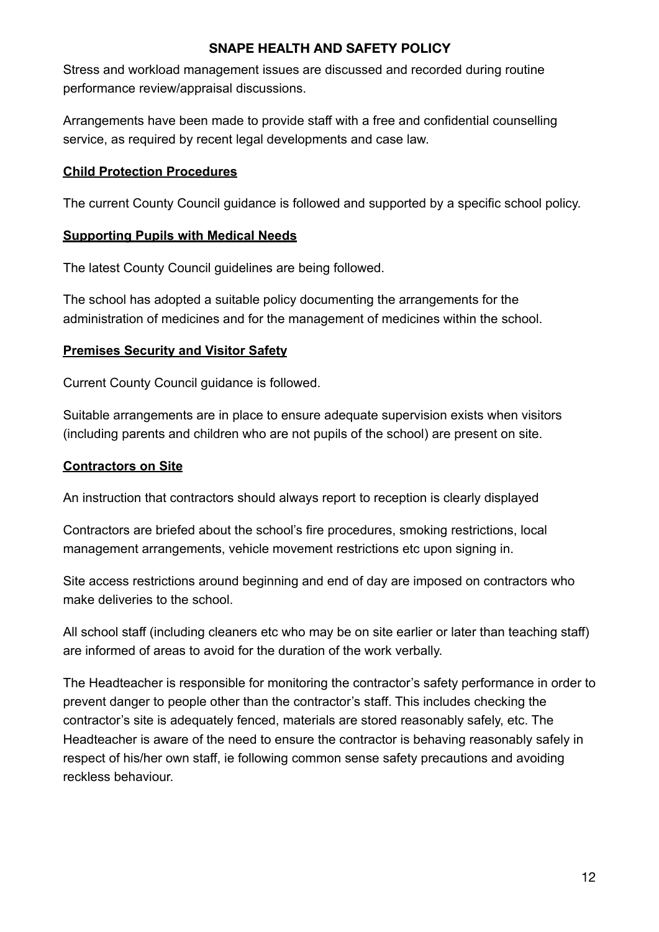Stress and workload management issues are discussed and recorded during routine performance review/appraisal discussions.

Arrangements have been made to provide staff with a free and confidential counselling service, as required by recent legal developments and case law.

#### **Child Protection Procedures**

The current County Council guidance is followed and supported by a specific school policy.

#### **Supporting Pupils with Medical Needs**

The latest County Council guidelines are being followed.

The school has adopted a suitable policy documenting the arrangements for the administration of medicines and for the management of medicines within the school.

#### **Premises Security and Visitor Safety**

Current County Council guidance is followed.

Suitable arrangements are in place to ensure adequate supervision exists when visitors (including parents and children who are not pupils of the school) are present on site.

#### **Contractors on Site**

An instruction that contractors should always report to reception is clearly displayed

Contractors are briefed about the school's fire procedures, smoking restrictions, local management arrangements, vehicle movement restrictions etc upon signing in.

Site access restrictions around beginning and end of day are imposed on contractors who make deliveries to the school.

All school staff (including cleaners etc who may be on site earlier or later than teaching staff) are informed of areas to avoid for the duration of the work verbally.

The Headteacher is responsible for monitoring the contractor's safety performance in order to prevent danger to people other than the contractor's staff. This includes checking the contractor's site is adequately fenced, materials are stored reasonably safely, etc. The Headteacher is aware of the need to ensure the contractor is behaving reasonably safely in respect of his/her own staff, ie following common sense safety precautions and avoiding reckless behaviour.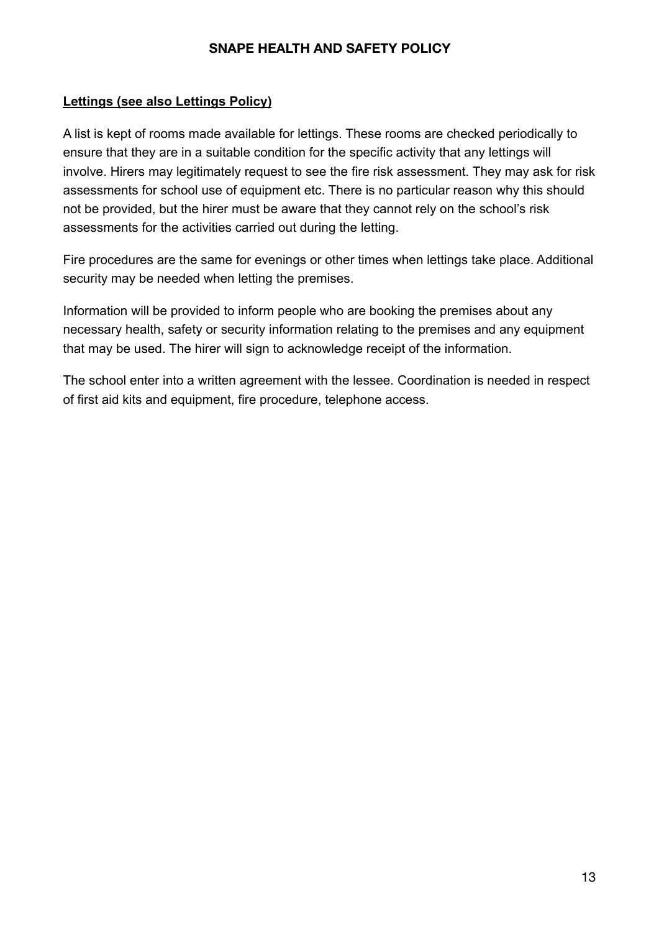#### **Lettings (see also Lettings Policy)**

A list is kept of rooms made available for lettings. These rooms are checked periodically to ensure that they are in a suitable condition for the specific activity that any lettings will involve. Hirers may legitimately request to see the fire risk assessment. They may ask for risk assessments for school use of equipment etc. There is no particular reason why this should not be provided, but the hirer must be aware that they cannot rely on the school's risk assessments for the activities carried out during the letting.

Fire procedures are the same for evenings or other times when lettings take place. Additional security may be needed when letting the premises.

Information will be provided to inform people who are booking the premises about any necessary health, safety or security information relating to the premises and any equipment that may be used. The hirer will sign to acknowledge receipt of the information.

The school enter into a written agreement with the lessee. Coordination is needed in respect of first aid kits and equipment, fire procedure, telephone access.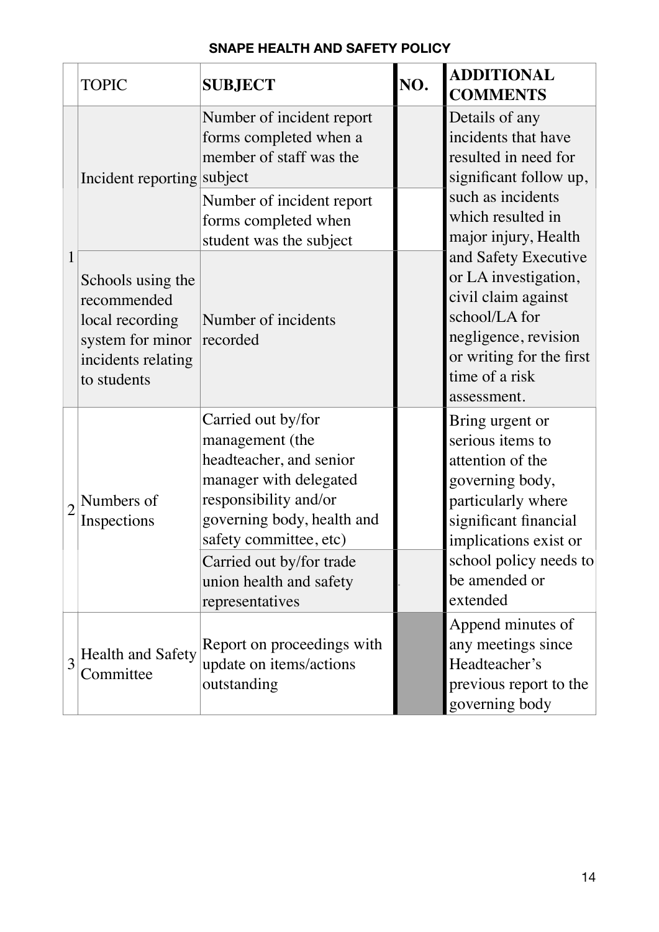|                | <b>TOPIC</b>                                                                                                 | <b>SUBJECT</b>                                                                                                                                                                                                                                        | NO. | <b>ADDITIONAL</b><br><b>COMMENTS</b>                                                                                                                                                                      |
|----------------|--------------------------------------------------------------------------------------------------------------|-------------------------------------------------------------------------------------------------------------------------------------------------------------------------------------------------------------------------------------------------------|-----|-----------------------------------------------------------------------------------------------------------------------------------------------------------------------------------------------------------|
|                | Incident reporting subject                                                                                   | Number of incident report<br>forms completed when a<br>member of staff was the                                                                                                                                                                        |     | Details of any<br>incidents that have<br>resulted in need for<br>significant follow up,<br>such as incidents                                                                                              |
|                |                                                                                                              | Number of incident report<br>forms completed when<br>student was the subject                                                                                                                                                                          |     | which resulted in<br>major injury, Health                                                                                                                                                                 |
|                | Schools using the<br>recommended<br>local recording<br>system for minor<br>incidents relating<br>to students | Number of incidents<br>recorded                                                                                                                                                                                                                       |     | and Safety Executive<br>or LA investigation,<br>civil claim against<br>school/LA for<br>negligence, revision<br>or writing for the first<br>time of a risk<br>assessment.                                 |
| $\overline{2}$ | Numbers of<br>Inspections                                                                                    | Carried out by/for<br>management (the<br>headteacher, and senior<br>manager with delegated<br>responsibility and/or<br>governing body, health and<br>safety committee, etc)<br>Carried out by/for trade<br>union health and safety<br>representatives |     | Bring urgent or<br>serious items to<br>attention of the<br>governing body,<br>particularly where<br>significant financial<br>implications exist or<br>school policy needs to<br>be amended or<br>extended |
| 3              | <b>Health and Safety</b><br>Committee                                                                        | Report on proceedings with<br>update on items/actions<br>outstanding                                                                                                                                                                                  |     | Append minutes of<br>any meetings since<br>Headteacher's<br>previous report to the<br>governing body                                                                                                      |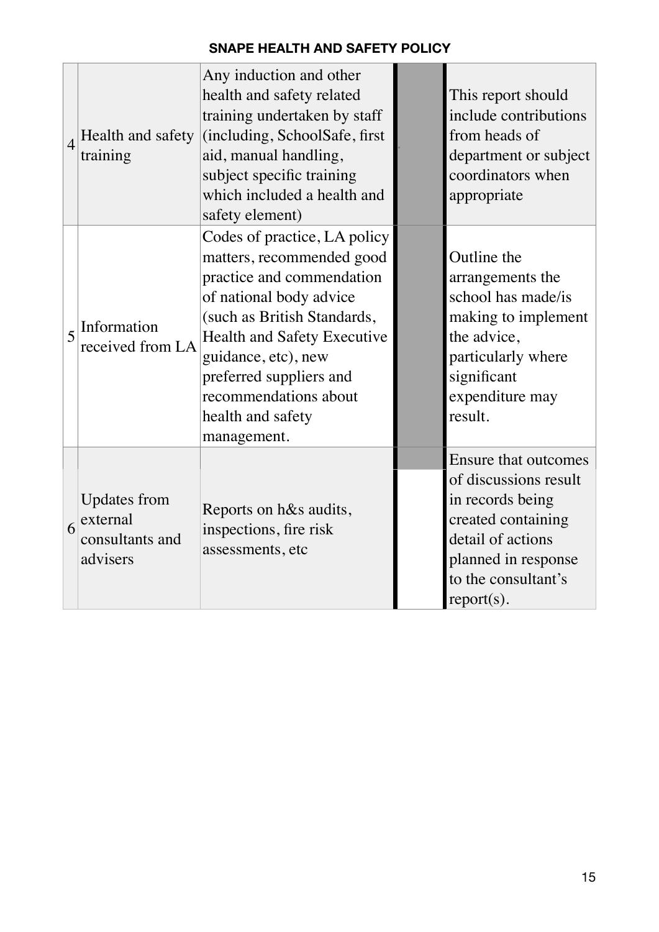| $\overline{4}$ | Health and safety<br>training                                  | Any induction and other<br>health and safety related<br>training undertaken by staff<br>(including, SchoolSafe, first<br>aid, manual handling,<br>subject specific training<br>which included a health and<br>safety element)                                                                  | This report should<br>include contributions<br>from heads of<br>department or subject<br>coordinators when<br>appropriate                                                          |
|----------------|----------------------------------------------------------------|------------------------------------------------------------------------------------------------------------------------------------------------------------------------------------------------------------------------------------------------------------------------------------------------|------------------------------------------------------------------------------------------------------------------------------------------------------------------------------------|
| $\overline{5}$ | Information<br>received from LA                                | Codes of practice, LA policy<br>matters, recommended good<br>practice and commendation<br>of national body advice<br>(such as British Standards,<br>Health and Safety Executive<br>guidance, etc), new<br>preferred suppliers and<br>recommendations about<br>health and safety<br>management. | Outline the<br>arrangements the<br>school has made/is<br>making to implement<br>the advice,<br>particularly where<br>significant<br>expenditure may<br>result.                     |
| 6              | <b>Updates from</b><br>external<br>consultants and<br>advisers | Reports on h&s audits,<br>inspections, fire risk<br>assessments, etc                                                                                                                                                                                                                           | <b>Ensure that outcomes</b><br>of discussions result<br>in records being<br>created containing<br>detail of actions<br>planned in response<br>to the consultant's<br>$report(s)$ . |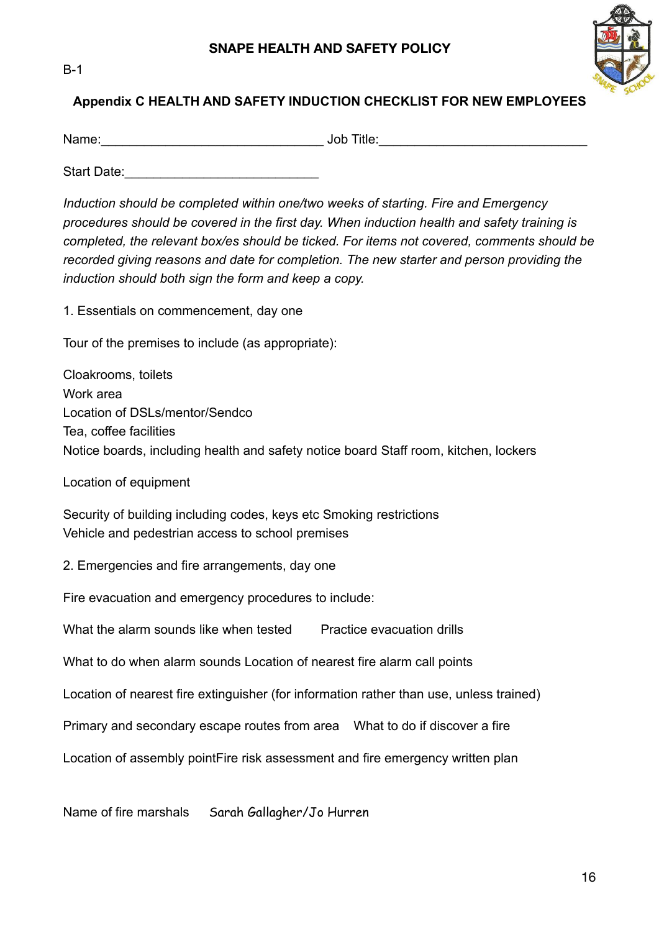



# **Appendix C HEALTH AND SAFETY INDUCTION CHECKLIST FOR NEW EMPLOYEES**

Name: etc. and the set of the set of the set of the set of the set of the set of the set of the set of the set of the set of the set of the set of the set of the set of the set of the set of the set of the set of the set o

Start Date:

*Induction should be completed within one/two weeks of starting. Fire and Emergency procedures should be covered in the first day. When induction health and safety training is completed, the relevant box/es should be ticked. For items not covered, comments should be recorded giving reasons and date for completion. The new starter and person providing the induction should both sign the form and keep a copy.* 

1. Essentials on commencement, day one

Tour of the premises to include (as appropriate):

Cloakrooms, toilets Work area Location of DSLs/mentor/Sendco Tea, coffee facilities Notice boards, including health and safety notice board Staff room, kitchen, lockers

Location of equipment

Security of building including codes, keys etc Smoking restrictions Vehicle and pedestrian access to school premises

2. Emergencies and fire arrangements, day one

Fire evacuation and emergency procedures to include:

What the alarm sounds like when tested Practice evacuation drills

What to do when alarm sounds Location of nearest fire alarm call points

Location of nearest fire extinguisher (for information rather than use, unless trained)

Primary and secondary escape routes from area What to do if discover a fire

Location of assembly pointFire risk assessment and fire emergency written plan

Name of fire marshals Sarah Gallagher/Jo Hurren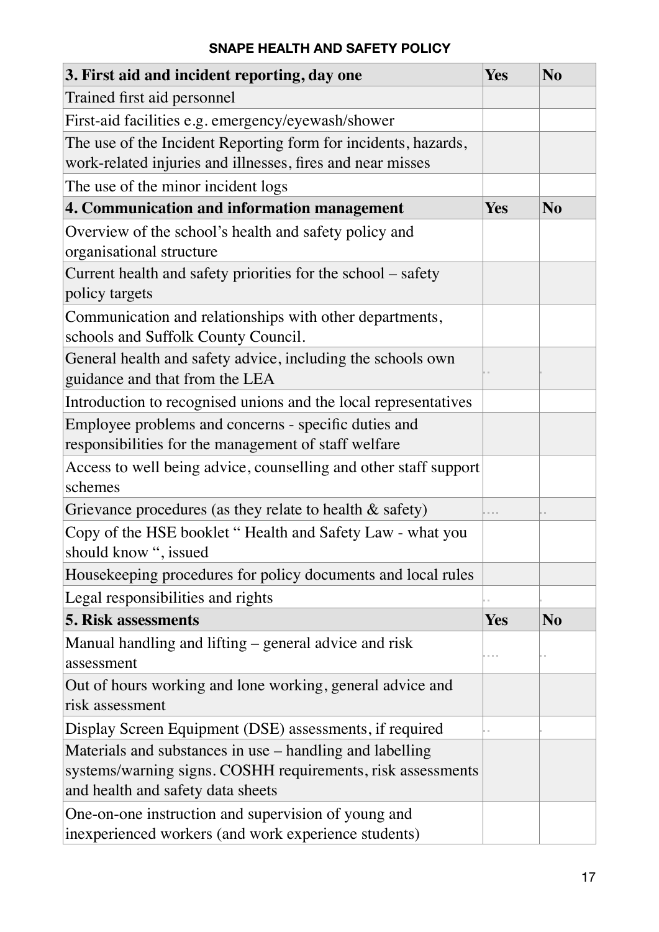| 3. First aid and incident reporting, day one                                                                                                                 | Yes        | N <sub>o</sub> |
|--------------------------------------------------------------------------------------------------------------------------------------------------------------|------------|----------------|
| Trained first aid personnel                                                                                                                                  |            |                |
| First-aid facilities e.g. emergency/eyewash/shower                                                                                                           |            |                |
| The use of the Incident Reporting form for incidents, hazards,                                                                                               |            |                |
| work-related injuries and illnesses, fires and near misses                                                                                                   |            |                |
| The use of the minor incident logs                                                                                                                           |            |                |
| 4. Communication and information management                                                                                                                  | <b>Yes</b> | N <sub>o</sub> |
| Overview of the school's health and safety policy and<br>organisational structure                                                                            |            |                |
| Current health and safety priorities for the school – safety<br>policy targets                                                                               |            |                |
| Communication and relationships with other departments,<br>schools and Suffolk County Council.                                                               |            |                |
| General health and safety advice, including the schools own<br>guidance and that from the LEA                                                                |            |                |
| Introduction to recognised unions and the local representatives                                                                                              |            |                |
| Employee problems and concerns - specific duties and<br>responsibilities for the management of staff welfare                                                 |            |                |
| Access to well being advice, counselling and other staff support<br>schemes                                                                                  |            |                |
| Grievance procedures (as they relate to health $\&$ safety)                                                                                                  |            |                |
| Copy of the HSE booklet "Health and Safety Law - what you<br>should know ", issued                                                                           |            |                |
| Housekeeping procedures for policy documents and local rules                                                                                                 |            |                |
| Legal responsibilities and rights                                                                                                                            |            |                |
| <b>5. Risk assessments</b>                                                                                                                                   | Yes        | N <sub>o</sub> |
| Manual handling and lifting – general advice and risk<br>assessment                                                                                          |            |                |
| Out of hours working and lone working, general advice and<br>risk assessment                                                                                 |            |                |
| Display Screen Equipment (DSE) assessments, if required                                                                                                      |            |                |
| Materials and substances in use – handling and labelling<br>systems/warning signs. COSHH requirements, risk assessments<br>and health and safety data sheets |            |                |
| One-on-one instruction and supervision of young and<br>inexperienced workers (and work experience students)                                                  |            |                |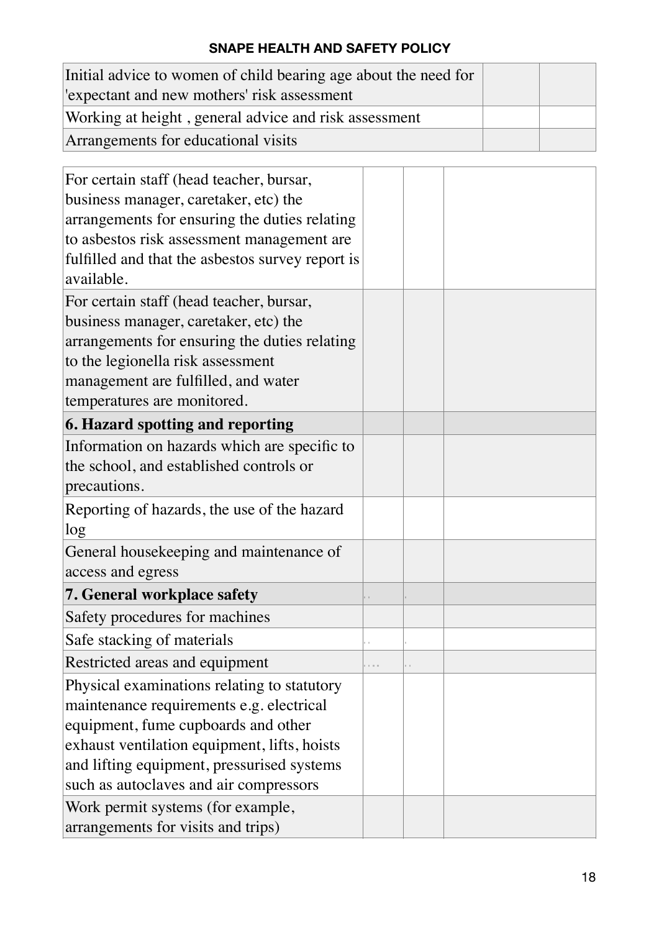| Initial advice to women of child bearing age about the need for |  |
|-----------------------------------------------------------------|--|
| expectant and new mothers' risk assessment                      |  |
| Working at height, general advice and risk assessment           |  |
| Arrangements for educational visits                             |  |

| For certain staff (head teacher, bursar,         |  |  |
|--------------------------------------------------|--|--|
| business manager, caretaker, etc) the            |  |  |
| arrangements for ensuring the duties relating    |  |  |
| to asbestos risk assessment management are       |  |  |
| fulfilled and that the asbestos survey report is |  |  |
| available.                                       |  |  |
| For certain staff (head teacher, bursar,         |  |  |
| business manager, caretaker, etc) the            |  |  |
| arrangements for ensuring the duties relating    |  |  |
| to the legionella risk assessment                |  |  |
| management are fulfilled, and water              |  |  |
| temperatures are monitored.                      |  |  |
| 6. Hazard spotting and reporting                 |  |  |
| Information on hazards which are specific to     |  |  |
| the school, and established controls or          |  |  |
| precautions.                                     |  |  |
| Reporting of hazards, the use of the hazard      |  |  |
| log                                              |  |  |
| General housekeeping and maintenance of          |  |  |
| access and egress                                |  |  |
| 7. General workplace safety                      |  |  |
| Safety procedures for machines                   |  |  |
| Safe stacking of materials                       |  |  |
| Restricted areas and equipment                   |  |  |
| Physical examinations relating to statutory      |  |  |
| maintenance requirements e.g. electrical         |  |  |
| equipment, fume cupboards and other              |  |  |
| exhaust ventilation equipment, lifts, hoists     |  |  |
| and lifting equipment, pressurised systems       |  |  |
| such as autoclaves and air compressors           |  |  |
| Work permit systems (for example,                |  |  |
| arrangements for visits and trips)               |  |  |